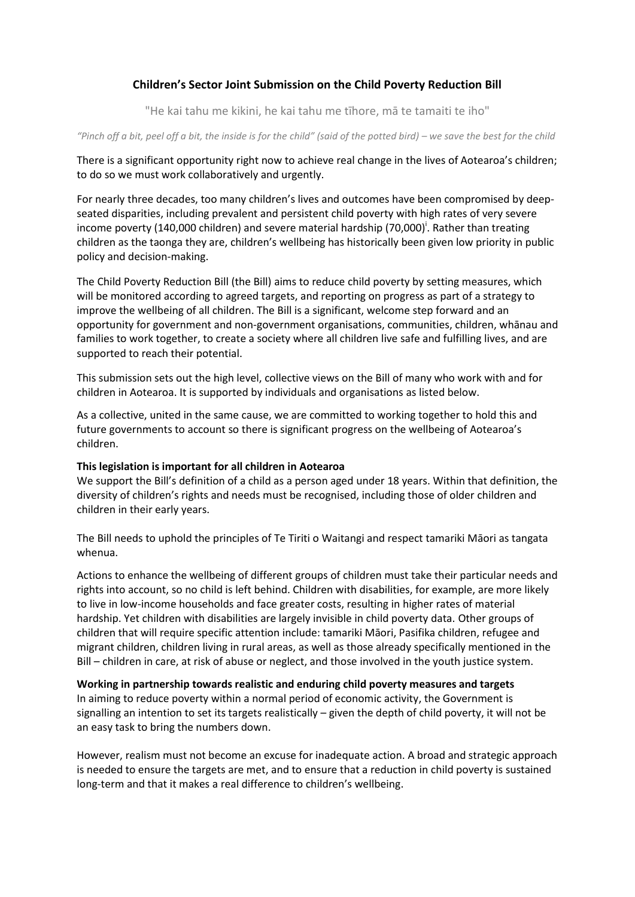# **Children's Sector Joint Submission on the Child Poverty Reduction Bill**

"He kai tahu me kikini, he kai tahu me tīhore, mā te tamaiti te iho"

*"Pinch off a bit, peel off a bit, the inside is for the child" (said of the potted bird) – we save the best for the child*

There is a significant opportunity right now to achieve real change in the lives of Aotearoa's children; to do so we must work collaboratively and urgently.

For nearly three decades, too many children's lives and outcomes have been compromised by deepseated disparities, including prevalent and persistent child poverty with high rates of very severe income poverty (140,000 children) and severe material hardship (70,000)<sup>i</sup>. Rather than treating children as the taonga they are, children's wellbeing has historically been given low priority in public policy and decision-making.

The Child Poverty Reduction Bill (the Bill) aims to reduce child poverty by setting measures, which will be monitored according to agreed targets, and reporting on progress as part of a strategy to improve the wellbeing of all children. The Bill is a significant, welcome step forward and an opportunity for government and non-government organisations, communities, children, whānau and families to work together, to create a society where all children live safe and fulfilling lives, and are supported to reach their potential.

This submission sets out the high level, collective views on the Bill of many who work with and for children in Aotearoa. It is supported by individuals and organisations as listed below.

As a collective, united in the same cause, we are committed to working together to hold this and future governments to account so there is significant progress on the wellbeing of Aotearoa's children.

## **This legislation is important for all children in Aotearoa**

We support the Bill's definition of a child as a person aged under 18 years. Within that definition, the diversity of children's rights and needs must be recognised, including those of older children and children in their early years.

The Bill needs to uphold the principles of Te Tiriti o Waitangi and respect tamariki Māori as tangata whenua.

Actions to enhance the wellbeing of different groups of children must take their particular needs and rights into account, so no child is left behind. Children with disabilities, for example, are more likely to live in low-income households and face greater costs, resulting in higher rates of material hardship. Yet children with disabilities are largely invisible in child poverty data. Other groups of children that will require specific attention include: tamariki Māori, Pasifika children, refugee and migrant children, children living in rural areas, as well as those already specifically mentioned in the Bill – children in care, at risk of abuse or neglect, and those involved in the youth justice system.

**Working in partnership towards realistic and enduring child poverty measures and targets** In aiming to reduce poverty within a normal period of economic activity, the Government is signalling an intention to set its targets realistically – given the depth of child poverty, it will not be

an easy task to bring the numbers down.

However, realism must not become an excuse for inadequate action. A broad and strategic approach is needed to ensure the targets are met, and to ensure that a reduction in child poverty is sustained long-term and that it makes a real difference to children's wellbeing.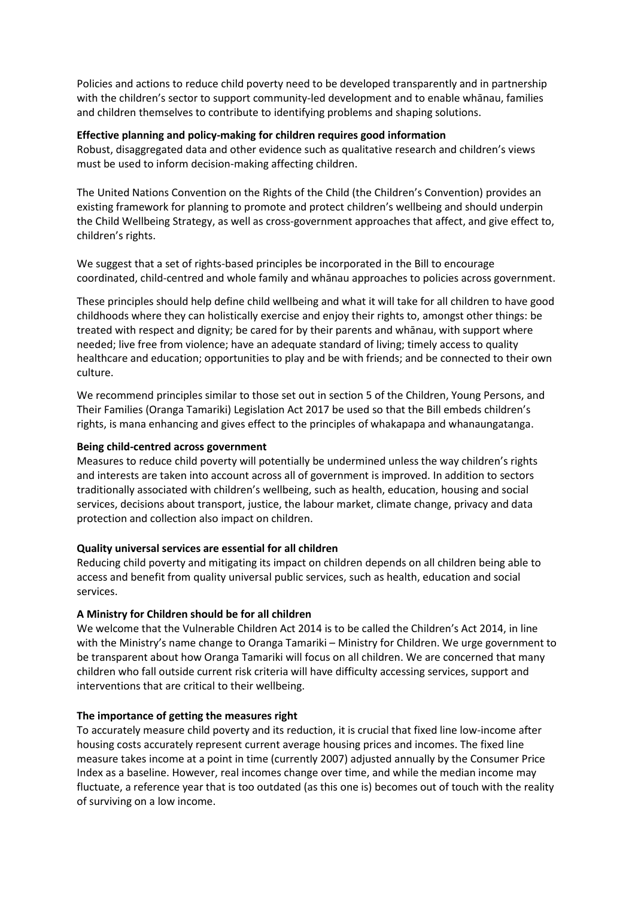Policies and actions to reduce child poverty need to be developed transparently and in partnership with the children's sector to support community-led development and to enable whānau, families and children themselves to contribute to identifying problems and shaping solutions.

## **Effective planning and policy-making for children requires good information**

Robust, disaggregated data and other evidence such as qualitative research and children's views must be used to inform decision-making affecting children.

The United Nations Convention on the Rights of the Child (the Children's Convention) provides an existing framework for planning to promote and protect children's wellbeing and should underpin the Child Wellbeing Strategy, as well as cross-government approaches that affect, and give effect to, children's rights.

We suggest that a set of rights-based principles be incorporated in the Bill to encourage coordinated, child-centred and whole family and whānau approaches to policies across government.

These principles should help define child wellbeing and what it will take for all children to have good childhoods where they can holistically exercise and enjoy their rights to, amongst other things: be treated with respect and dignity; be cared for by their parents and whānau, with support where needed; live free from violence; have an adequate standard of living; timely access to quality healthcare and education; opportunities to play and be with friends; and be connected to their own culture.

We recommend principles similar to those set out in section 5 of the Children, Young Persons, and Their Families (Oranga Tamariki) Legislation Act 2017 be used so that the Bill embeds children's rights, is mana enhancing and gives effect to the principles of whakapapa and whanaungatanga.

### **Being child-centred across government**

Measures to reduce child poverty will potentially be undermined unless the way children's rights and interests are taken into account across all of government is improved. In addition to sectors traditionally associated with children's wellbeing, such as health, education, housing and social services, decisions about transport, justice, the labour market, climate change, privacy and data protection and collection also impact on children.

## **Quality universal services are essential for all children**

Reducing child poverty and mitigating its impact on children depends on all children being able to access and benefit from quality universal public services, such as health, education and social services.

## **A Ministry for Children should be for all children**

We welcome that the Vulnerable Children Act 2014 is to be called the Children's Act 2014, in line with the Ministry's name change to Oranga Tamariki – Ministry for Children. We urge government to be transparent about how Oranga Tamariki will focus on all children. We are concerned that many children who fall outside current risk criteria will have difficulty accessing services, support and interventions that are critical to their wellbeing.

## **The importance of getting the measures right**

To accurately measure child poverty and its reduction, it is crucial that fixed line low-income after housing costs accurately represent current average housing prices and incomes. The fixed line measure takes income at a point in time (currently 2007) adjusted annually by the Consumer Price Index as a baseline. However, real incomes change over time, and while the median income may fluctuate, a reference year that is too outdated (as this one is) becomes out of touch with the reality of surviving on a low income.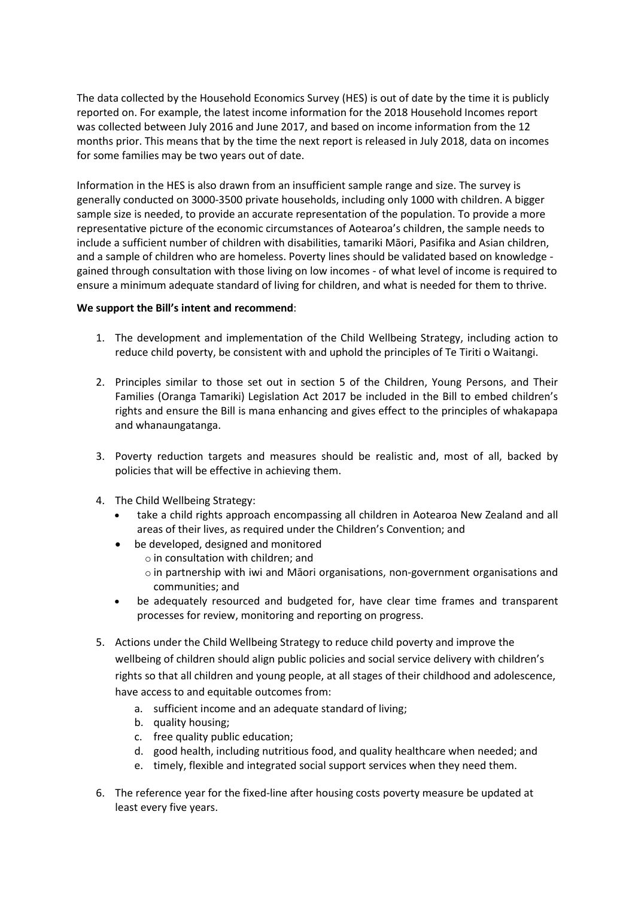The data collected by the Household Economics Survey (HES) is out of date by the time it is publicly reported on. For example, the latest income information for the 2018 Household Incomes report was collected between July 2016 and June 2017, and based on income information from the 12 months prior. This means that by the time the next report is released in July 2018, data on incomes for some families may be two years out of date.

Information in the HES is also drawn from an insufficient sample range and size. The survey is generally conducted on 3000-3500 private households, including only 1000 with children. A bigger sample size is needed, to provide an accurate representation of the population. To provide a more representative picture of the economic circumstances of Aotearoa's children, the sample needs to include a sufficient number of children with disabilities, tamariki Māori, Pasifika and Asian children, and a sample of children who are homeless. Poverty lines should be validated based on knowledge gained through consultation with those living on low incomes - of what level of income is required to ensure a minimum adequate standard of living for children, and what is needed for them to thrive.

## **We support the Bill's intent and recommend**:

- 1. The development and implementation of the Child Wellbeing Strategy, including action to reduce child poverty, be consistent with and uphold the principles of Te Tiriti o Waitangi.
- 2. Principles similar to those set out in section 5 of the Children, Young Persons, and Their Families (Oranga Tamariki) Legislation Act 2017 be included in the Bill to embed children's rights and ensure the Bill is mana enhancing and gives effect to the principles of whakapapa and whanaungatanga.
- 3. Poverty reduction targets and measures should be realistic and, most of all, backed by policies that will be effective in achieving them.
- 4. The Child Wellbeing Strategy:
	- take a child rights approach encompassing all children in Aotearoa New Zealand and all areas of their lives, as required under the Children's Convention; and
	- be developed, designed and monitored
		- o in consultation with children; and
		- $\circ$  in partnership with iwi and Māori organisations, non-government organisations and communities; and
	- be adequately resourced and budgeted for, have clear time frames and transparent processes for review, monitoring and reporting on progress.
- 5. Actions under the Child Wellbeing Strategy to reduce child poverty and improve the wellbeing of children should align public policies and social service delivery with children's rights so that all children and young people, at all stages of their childhood and adolescence, have access to and equitable outcomes from:
	- a. sufficient income and an adequate standard of living;
	- b. quality housing;
	- c. free quality public education;
	- d. good health, including nutritious food, and quality healthcare when needed; and
	- e. timely, flexible and integrated social support services when they need them.
- 6. The reference year for the fixed-line after housing costs poverty measure be updated at least every five years.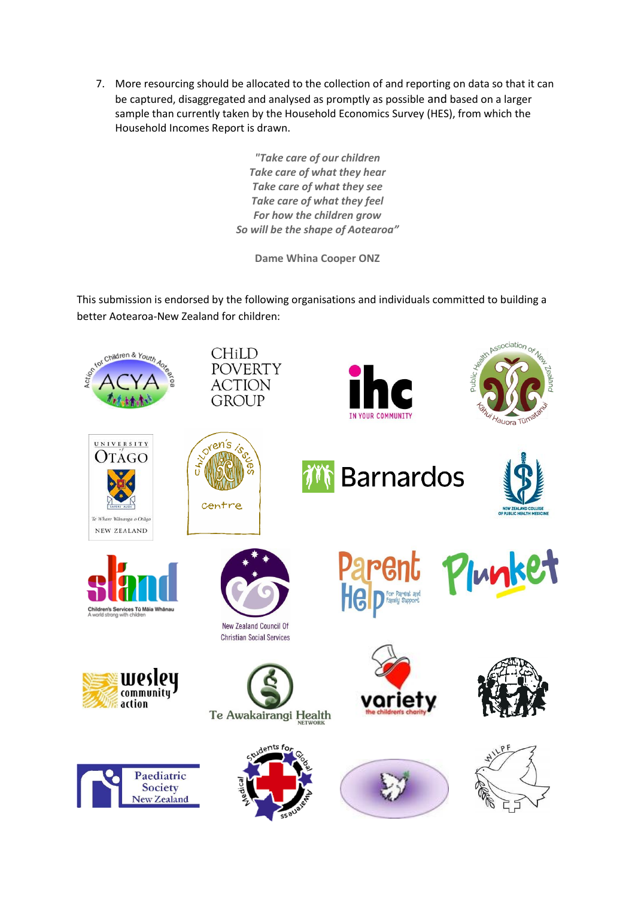7. More resourcing should be allocated to the collection of and reporting on data so that it can be captured, disaggregated and analysed as promptly as possible and based on a larger sample than currently taken by the Household Economics Survey (HES), from which the Household Incomes Report is drawn.

> *"Take care of our children Take care of what they hear Take care of what they see Take care of what they feel For how the children grow So will be the shape of Aotearoa"*

> > **Dame Whina Cooper ONZ**

This submission is endorsed by the following organisations and individuals committed to building a better Aotearoa-New Zealand for children:

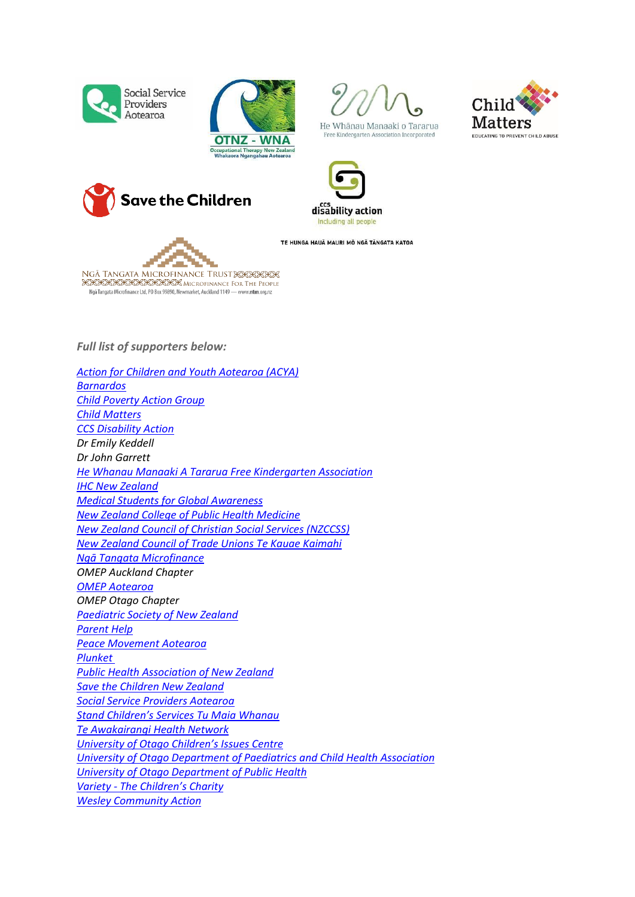











TE HUNGA HAUĀ MAURI MÕ NGÃ TÃNGATA KATOA

T. ۳ NGĀ TANGATA MICROFINANCE TRUST XXXXXX

**XXXXXXXXXXXXX** MICROFINANCE FOR THE PEOPLE Ngā Tangata Microfinance Ltd, PO Box 99890, Newmarket, Auckland 1149 - www.ntm.org.nz

*Full list of supporters below:*

*[Action for Children and Youth Aotearoa \(ACYA\)](http://www.acya.org.nz/) [Barnardos](https://www.barnardos.org.nz/) [Child Poverty Action Group](http://www.cpag.org.nz/) [Child Matters](http://www.childmatters.org.nz/)  [CCS Disability Action](https://www.ccsdisabilityaction.org.nz/) Dr Emily Keddell Dr John Garrett [He Whanau Manaaki A Tararua Free Kindergarten](http://www.wmkindergartens.org.nz/About-Us/Whanau-Manaaki-__I.143) Association [IHC New Zealand](https://ihc.org.nz/) [Medical Students for Global Awareness](https://www.facebook.com/msga.nz/)  [New Zealand College of Public Health Medicine](https://www.nzcphm.org.nz/)  [New Zealand Council of Christian Social Services \(NZCCSS\)](http://nzccss.org.nz/) [New Zealand Council of Trade Unions Te Kauae Kaimahi](https://www.union.org.nz/) [Ngā Tangata Microfinance](https://www.ngatangatamicrofinance.org.nz/) OMEP Auckland Chapter [OMEP Aotearoa](http://www.omepaotearoa.org.nz/) OMEP Otago Chapter [Paediatric Society of New Zealand](http://www.paediatrics.org.nz/) [Parent Help](http://www.parenthelp.org.nz/) [Peace Movement Aotearoa](http://www.converge.org.nz/pma/)  [Plunket](https://www.plunket.org.nz/)  [Public Health Association of New Zealand](https://www.pha.org.nz/)  [Save the Children New Zealand](https://savethechildren.org.nz/) [Social Service Providers Aotearoa](https://www.sspa.org.nz/) [Stand Children's Services Tu Maia Whanau](https://www.standforchildren.org.nz/) [Te Awakairangi Health Network](https://teawakairangihealth.org.nz/) [University of Otago Child](http://www.otago.ac.nz/cic/index.html)ren's Issues Centre [University of Otago Department of Paediatrics and Child Health Association](http://www.otago.ac.nz/wellington/departments/paediatricschildhealth/) [University of Otago Department of Public Health](http://www.otago.ac.nz/wellington/departments/publichealth/) Variety - T[he Children's Charity](https://www.variety.org.nz/)  [Wesley Community Action](http://www.wesleyca.org.nz/)*